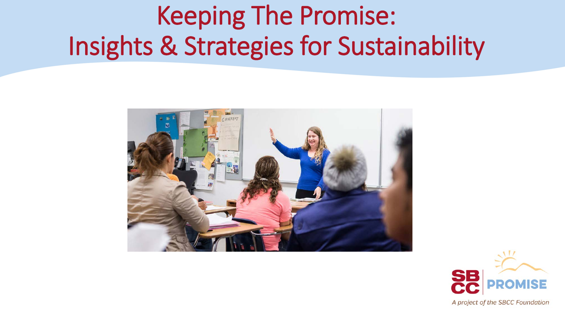## Keeping The Promise: Insights & Strategies for Sustainability



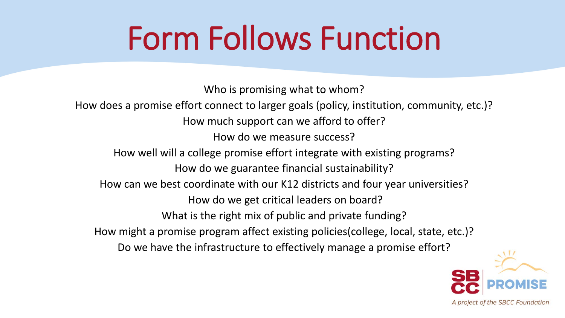# Form Follows Function

Who is promising what to whom? How does a promise effort connect to larger goals (policy, institution, community, etc.)? How much support can we afford to offer? How do we measure success? How well will a college promise effort integrate with existing programs? How do we guarantee financial sustainability? How can we best coordinate with our K12 districts and four year universities? How do we get critical leaders on board? What is the right mix of public and private funding? How might a promise program affect existing policies(college, local, state, etc.)? Do we have the infrastructure to effectively manage a promise effort?

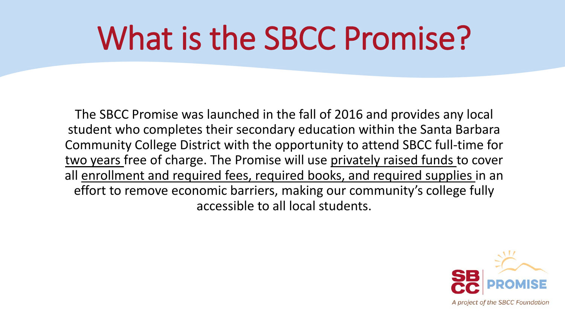# What is the SBCC Promise?

The SBCC Promise was launched in the fall of 2016 and provides any local student who completes their secondary education within the Santa Barbara Community College District with the opportunity to attend SBCC full-time for two years free of charge. The Promise will use privately raised funds to cover all enrollment and required fees, required books, and required supplies in an effort to remove economic barriers, making our community's college fully accessible to all local students.

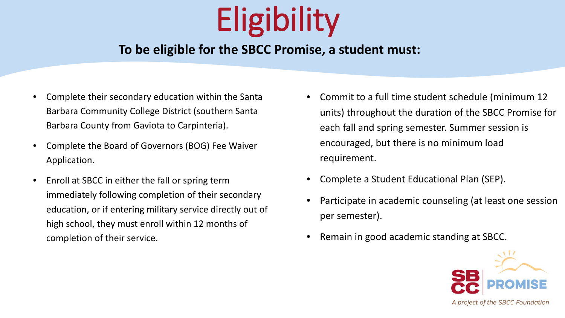# **Eligibility**

#### **To be eligible for the SBCC Promise, a student must:**

- Complete their secondary education within the Santa Barbara Community College District (southern Santa Barbara County from Gaviota to Carpinteria).
- Complete the Board of Governors (BOG) Fee Waiver Application.
- Enroll at SBCC in either the fall or spring term immediately following completion of their secondary education, or if entering military service directly out of high school, they must enroll within 12 months of completion of their service.
- Commit to a full time student schedule (minimum 12 units) throughout the duration of the SBCC Promise for each fall and spring semester. Summer session is encouraged, but there is no minimum load requirement.
- Complete a Student Educational Plan (SEP).
- Participate in academic counseling (at least one session per semester).
- Remain in good academic standing at SBCC.

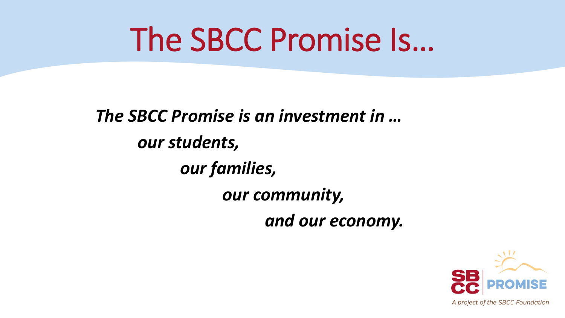# The SBCC Promise Is…

*The SBCC Promise is an investment in … our students, our families, our community, and our economy.*

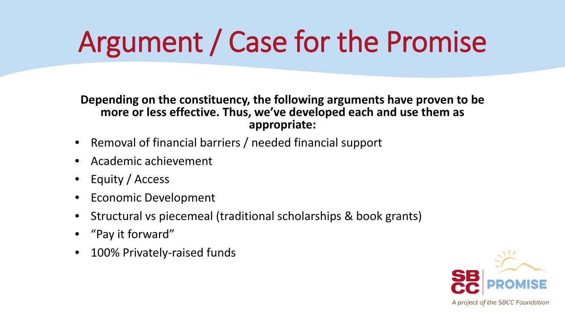# Argument / Case for the Promise

**Depending on the constituency, the following arguments have proven to be more or less effective. Thus, we've developed each and use them as appropriate:**

- Removal of financial barriers / needed financial support
- Academic achievement
- Equity / Access
- Economic Development
- Structural vs piecemeal (traditional scholarships & book grants)
- "Pay it forward"
- 100% Privately-raised funds

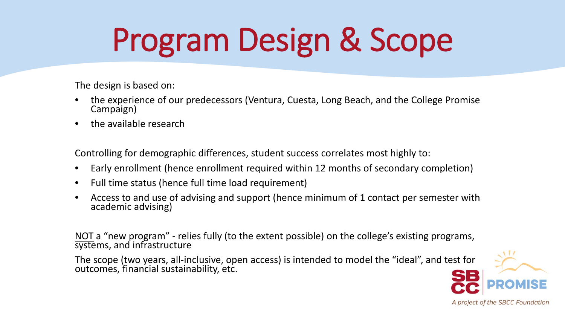# Program Design & Scope

The design is based on:

- the experience of our predecessors (Ventura, Cuesta, Long Beach, and the College Promise<br>Campaign)
- the available research

Controlling for demographic differences, student success correlates most highly to:

- Early enrollment (hence enrollment required within 12 months of secondary completion)
- Full time status (hence full time load requirement)
- Access to and use of advising and support (hence minimum of 1 contact per semester with academic advising)

NOT a "new program" - relies fully (to the extent possible) on the college's existing programs, systems, and infrastructure

The scope (two years, all-inclusive, open access) is intended to model the "ideal", and test for outcomes, financial sustainability, etc.

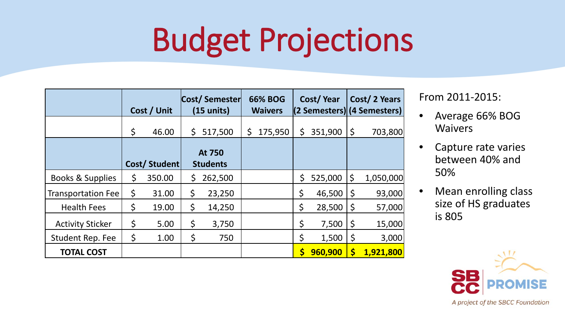# Budget Projections

|                           | Cost / Unit |              | Cost/Semester<br>$(15 \text{ units})$ |         | <b>66% BOG</b><br><b>Waivers</b> |         | Cost/Year |         | Cost/2 Years<br>(2 Semesters) (4 Semesters) |           |
|---------------------------|-------------|--------------|---------------------------------------|---------|----------------------------------|---------|-----------|---------|---------------------------------------------|-----------|
|                           | \$          | 46.00        | \$                                    | 517,500 | \$                               | 175,950 | \$        | 351,900 | $\zeta$                                     | 703,800   |
|                           |             | Cost/Student | At 750<br><b>Students</b>             |         |                                  |         |           |         |                                             |           |
| Books & Supplies          | \$          | 350.00       | \$                                    | 262,500 |                                  |         | \$        | 525,000 | \$                                          | 1,050,000 |
| <b>Transportation Fee</b> | \$          | 31.00        | \$                                    | 23,250  |                                  |         | \$        | 46,500  | \$                                          | 93,000    |
| <b>Health Fees</b>        | \$          | 19.00        | \$                                    | 14,250  |                                  |         | \$        | 28,500  | \$                                          | 57,000    |
| <b>Activity Sticker</b>   | \$          | 5.00         | \$                                    | 3,750   |                                  |         | \$        | 7,500   | \$                                          | 15,000    |
| Student Rep. Fee          | \$          | 1.00         | $\zeta$                               | 750     |                                  |         | \$        | 1,500   | \$                                          | 3,000     |
| <b>TOTAL COST</b>         |             |              |                                       |         |                                  |         | \$        | 960,900 | $\boldsymbol{\zeta}$                        | 1,921,800 |

From 2011-2015:

- Average 66% BOG **Waivers**
- Capture rate varies between 40% and 50%
- Mean enrolling class size of HS graduates is 805

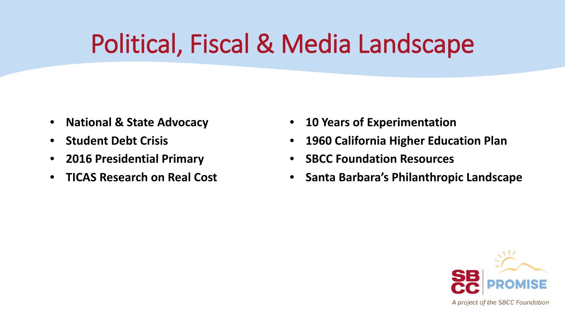## Political, Fiscal & Media Landscape

- **National & State Advocacy**
- **Student Debt Crisis**
- **2016 Presidential Primary**
- **TICAS Research on Real Cost**
- **10 Years of Experimentation**
- **1960 California Higher Education Plan**
- **SBCC Foundation Resources**
- **Santa Barbara's Philanthropic Landscape**

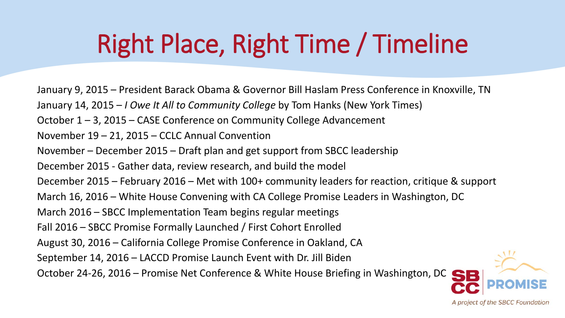## Right Place, Right Time / Timeline

January 9, 2015 – President Barack Obama & Governor Bill Haslam Press Conference in Knoxville, TN

- January 14, 2015 *I Owe It All to Community College* by Tom Hanks (New York Times)
- October 1 3, 2015 CASE Conference on Community College Advancement
- November 19 21, 2015 CCLC Annual Convention
- November December 2015 Draft plan and get support from SBCC leadership
- December 2015 Gather data, review research, and build the model
- December 2015 February 2016 Met with 100+ community leaders for reaction, critique & support
- March 16, 2016 White House Convening with CA College Promise Leaders in Washington, DC
- March 2016 SBCC Implementation Team begins regular meetings
- Fall 2016 SBCC Promise Formally Launched / First Cohort Enrolled
- August 30, 2016 California College Promise Conference in Oakland, CA
- September 14, 2016 LACCD Promise Launch Event with Dr. Jill Biden

October 24-26, 2016 – Promise Net Conference & White House Briefing in Washington, DC

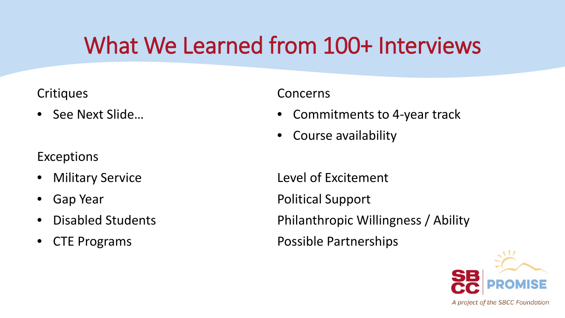### What We Learned from 100+ Interviews

#### **Critiques**

• See Next Slide…

#### **Exceptions**

- **Military Service**
- Gap Year
- Disabled Students
- CTE Programs

#### Concerns

- Commitments to 4-year track
- Course availability

Level of Excitement Political Support Philanthropic Willingness / Ability Possible Partnerships

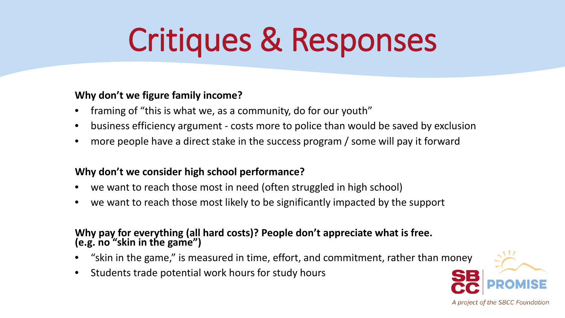# Critiques & Responses

#### **Why don't we figure family income?**

- framing of "this is what we, as a community, do for our youth"
- business efficiency argument costs more to police than would be saved by exclusion
- more people have a direct stake in the success program / some will pay it forward

#### **Why don't we consider high school performance?**

- we want to reach those most in need (often struggled in high school)
- we want to reach those most likely to be significantly impacted by the support

### **Why pay for everything (all hard costs)? People don't appreciate what is free. (e.g. no "skin in the game")**

- "skin in the game," is measured in time, effort, and commitment, rather than money
- Students trade potential work hours for study hours

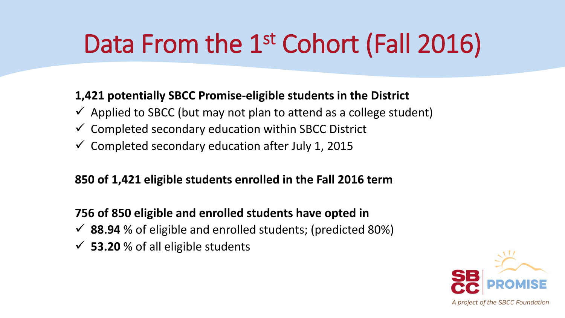#### **1,421 potentially SBCC Promise-eligible students in the District**

- $\checkmark$  Applied to SBCC (but may not plan to attend as a college student)
- $\checkmark$  Completed secondary education within SBCC District
- $\checkmark$  Completed secondary education after July 1, 2015

#### **850 of 1,421 eligible students enrolled in the Fall 2016 term**

#### **756 of 850 eligible and enrolled students have opted in**

- **88.94** % of eligible and enrolled students; (predicted 80%)
- **53.20** % of all eligible students

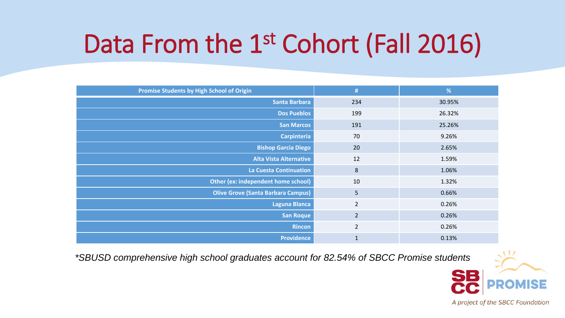| Promise Students by High School of Origin | #              | %      |
|-------------------------------------------|----------------|--------|
| Santa Barbara                             | 234            | 30.95% |
| <b>Dos Pueblos</b>                        | 199            | 26.32% |
| <b>San Marcos</b>                         | 191            | 25.26% |
| <b>Carpinteria</b>                        | 70             | 9.26%  |
| <b>Bishop Garcia Diego</b>                | 20             | 2.65%  |
| <b>Alta Vista Alternative</b>             | 12             | 1.59%  |
| <b>La Cuesta Continuation</b>             | $\bf 8$        | 1.06%  |
| Other (ex: independent home school)       | 10             | 1.32%  |
| <b>Olive Grove (Santa Barbara Campus)</b> | 5              | 0.66%  |
| <b>Laguna Blanca</b>                      | $\overline{2}$ | 0.26%  |
| <b>San Roque</b>                          | $\overline{2}$ | 0.26%  |
| <b>Rincon</b>                             | $\overline{2}$ | 0.26%  |
| <b>Providence</b>                         | $\mathbf{1}$   | 0.13%  |

*\*SBUSD comprehensive high school graduates account for 82.54% of SBCC Promise students*

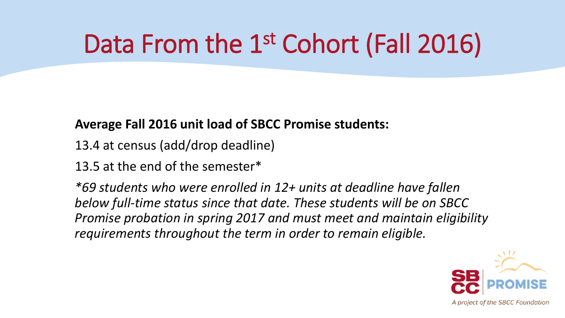#### **Average Fall 2016 unit load of SBCC Promise students:**

- 13.4 at census (add/drop deadline)
- 13.5 at the end of the semester\*

*\*69 students who were enrolled in 12+ units at deadline have fallen below full-time status since that date. These students will be on SBCC Promise probation in spring 2017 and must meet and maintain eligibility requirements throughout the term in order to remain eligible.* 

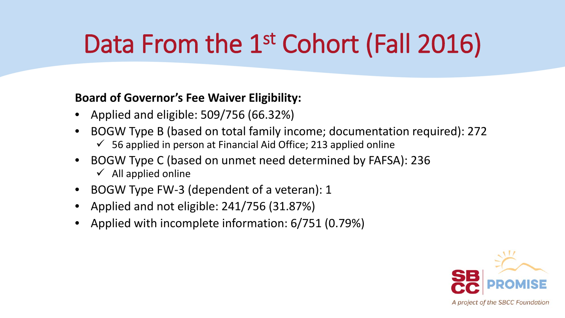#### **Board of Governor's Fee Waiver Eligibility:**

- Applied and eligible: 509/756 (66.32%)
- BOGW Type B (based on total family income; documentation required): 272 56 applied in person at Financial Aid Office; 213 applied online
- BOGW Type C (based on unmet need determined by FAFSA): 236  $\checkmark$  All applied online
- BOGW Type FW-3 (dependent of a veteran): 1
- Applied and not eligible: 241/756 (31.87%)
- Applied with incomplete information: 6/751 (0.79%)

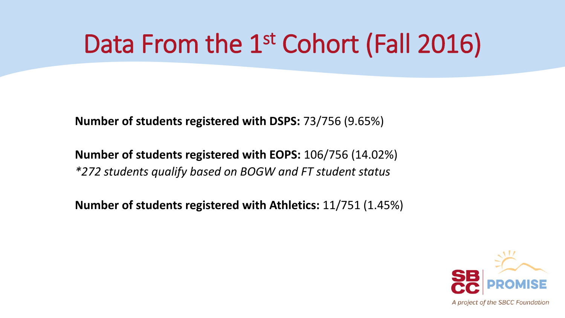**Number of students registered with DSPS:** 73/756 (9.65%)

**Number of students registered with EOPS:** 106/756 (14.02%) *\*272 students qualify based on BOGW and FT student status*

**Number of students registered with Athletics:** 11/751 (1.45%)

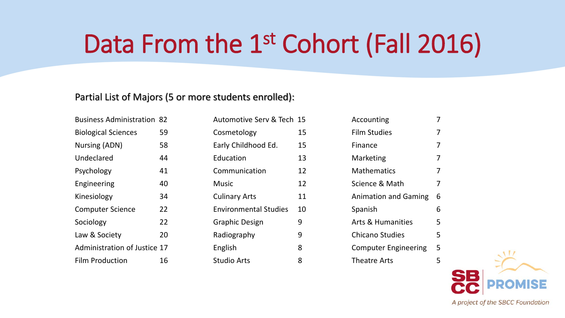#### Partial List of Majors (5 or more students enrolled):

| <b>Business Administration 82</b> |    |
|-----------------------------------|----|
| <b>Biological Sciences</b>        | 59 |
| Nursing (ADN)                     | 58 |
| Undeclared                        | 44 |
| Psychology                        | 41 |
| Engineering                       | 40 |
| Kinesiology                       | 34 |
| <b>Computer Science</b>           | 22 |
| Sociology                         | 22 |
| Law & Society                     | 20 |
| Administration of Justice 17      |    |
| Film Production                   | 16 |

| Automotive Serv & Tech 15    |    |
|------------------------------|----|
| Cosmetology                  | 15 |
| Early Childhood Ed.          | 15 |
| Education                    | 13 |
| Communication                | 12 |
| Music                        | 12 |
| <b>Culinary Arts</b>         | 11 |
| <b>Environmental Studies</b> | 10 |
| Graphic Design               | 9  |
| Radiography                  | 9  |
| English                      | 8  |
| <b>Studio Arts</b>           | 8  |

| Accounting                   |   |
|------------------------------|---|
| Film Studies                 |   |
| Finance                      |   |
| Marketing                    |   |
| Mathematics                  | 7 |
| Science & Math               | 7 |
| <b>Animation and Gaming</b>  | 6 |
| Spanish                      | 6 |
| <b>Arts &amp; Humanities</b> | 5 |
| Chicano Studies              | 5 |
| <b>Computer Engineering</b>  | 5 |
| Theatre Arts                 |   |
|                              |   |

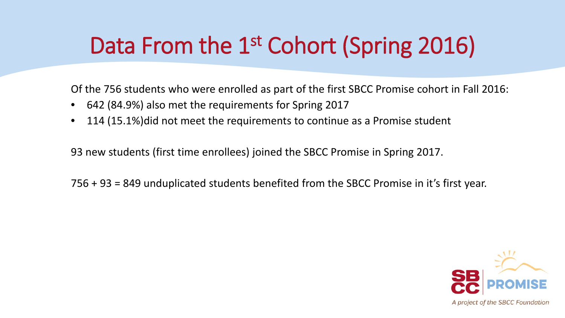### Data From the 1<sup>st</sup> Cohort (Spring 2016)

Of the 756 students who were enrolled as part of the first SBCC Promise cohort in Fall 2016:

- 642 (84.9%) also met the requirements for Spring 2017
- 114 (15.1%)did not meet the requirements to continue as a Promise student

93 new students (first time enrollees) joined the SBCC Promise in Spring 2017.

756 + 93 = 849 unduplicated students benefited from the SBCC Promise in it's first year.

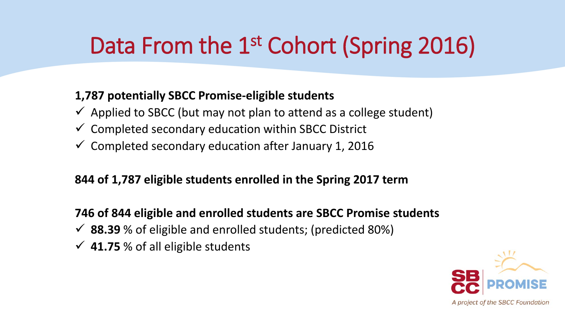### Data From the 1<sup>st</sup> Cohort (Spring 2016)

#### **1,787 potentially SBCC Promise-eligible students**

- $\checkmark$  Applied to SBCC (but may not plan to attend as a college student)
- $\checkmark$  Completed secondary education within SBCC District
- $\checkmark$  Completed secondary education after January 1, 2016

#### **844 of 1,787 eligible students enrolled in the Spring 2017 term**

**746 of 844 eligible and enrolled students are SBCC Promise students**

- **88.39** % of eligible and enrolled students; (predicted 80%)
- **41.75** % of all eligible students

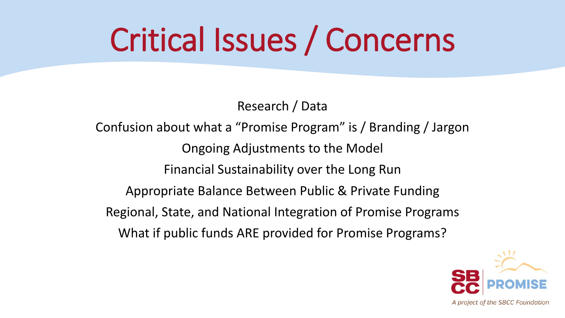# Critical Issues / Concerns

Research / Data

Confusion about what a "Promise Program" is / Branding / Jargon Ongoing Adjustments to the Model Financial Sustainability over the Long Run Appropriate Balance Between Public & Private Funding Regional, State, and National Integration of Promise Programs What if public funds ARE provided for Promise Programs?